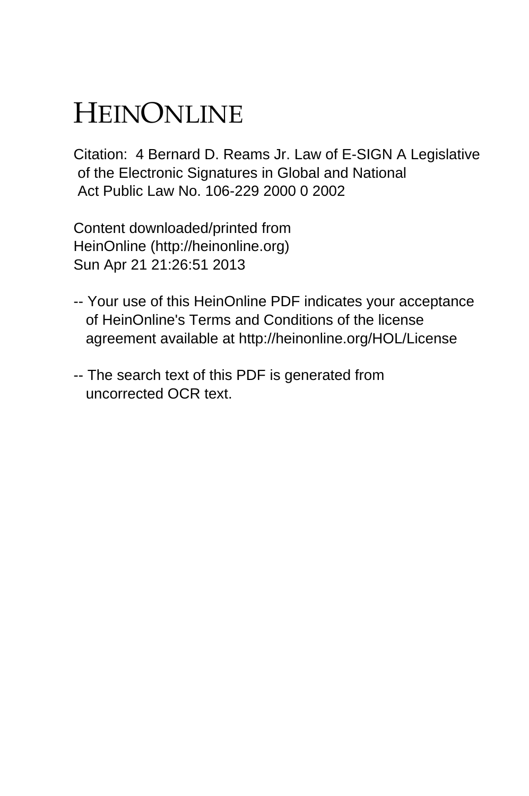# HEINONLINE

Citation: 4 Bernard D. Reams Jr. Law of E-SIGN A Legislative of the Electronic Signatures in Global and National Act Public Law No. 106-229 2000 0 2002

Content downloaded/printed from HeinOnline (http://heinonline.org) Sun Apr 21 21:26:51 2013

- -- Your use of this HeinOnline PDF indicates your acceptance of HeinOnline's Terms and Conditions of the license agreement available at http://heinonline.org/HOL/License
- -- The search text of this PDF is generated from uncorrected OCR text.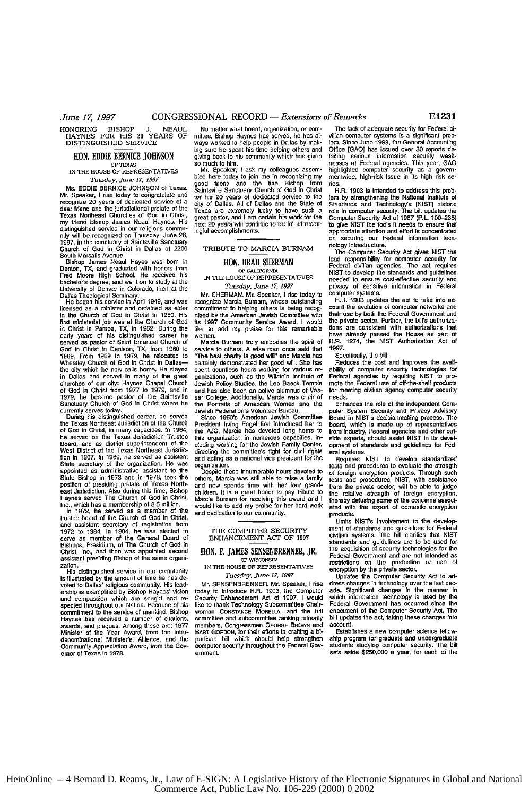HONORING BISHOP **J. NEAUL HAYNES** FOR HIS **20** YEARS OF **DISTINGUISHED** SERVICE

### **RON. EDDIE** BERNICE **JOHNSON**

**IN** THE **HOUSE** OF REPRESENTATIVES *Tuesday, June 17, 1997*

MS. EDDIE BERNICE **JOHNSON** of Texas. Mr. Speaker, I rise today to congratulate and recognize 20 years of dedicated service of a dear friend and the jurisdictional prelate of the<br>Texas Northeast Churches of God in Christ, my friend Bishop James Neaul Haynes. His dislngauished service in our religious community will be recognized on Thursday, June **26, 1997,** in the sanctuary of Saiatsville Sanctuary Church **of God in** Christ in Dallas at 2200

South Marsalis Avenue.<br>
Slothop James Neaul Hayes was born in<br>
Denton, TX, and graduated with honors from<br>
Fred Moore High School. He received his<br>
bachelor's degree, and went on to study at the<br>
University of Denver in Co

in **the** Church of God **in** Christ in **1950.** His first ministedal job was **at** the Church of God in Christ **in Pampa, TX, in 1952. During the**<br>early years of his distinguished career he<br>served as pastor of Saint Emanuel Church of God In Christ in Denison, TX, from **1960 to 1069.** From **1969** to **1979,** he relocated to Wheatley Church of God in Christ in Dallasthe city which ha **now** calls home. He stayod in Dallas and served in many of the churches of our *city:* Haynes Chapel Church of **God** in Christ from 1977 to **1979,** and in 1979, he became pastor of the Saintsville<br>Sanctuary Church of God in Christ where he currently serves today.<br>During his distinguished career, he served

the Texas Northeast Jurisdiction **of** the Church **of God** in Christ, in many capacities. In 1964, he served **on** the Texas Jurisdiction Trustee Board, **and** as district superintendent of the West District of the Texas Northeast Jurisdiclion in **1967.** In **1969,** he served as assistant State secretary **of** the organization. He was appointed as administrative assistant Io *the* State Bishop in **1973 and** in **1978,** took the position of presiding prelate of Texas North-east Jurisdicion. Also during this time, Bishop Haynes served The Church of God in Christ, Inc., which has a membership of **8.5** millian.

**In 1972,** he served as a member **of the** trustee board of **the** Church of God in Christ, and assislant secretary of registration from **1972 to** 1984. In 1984, he was elected to **serve as** member **of** the General Board of Bishops, Presidium, of The Church of God in Christ, Inc., and then was appointed second assistant presiding Bishop of the same organization.

His distinguished service in our community is illustrated by the amount **of** time he has **de-**voted to Dallas' religious community. His lead-ership is exemplified by Bishop Haynes' vision **and** compassion which *are* sought and re-specled throughout our Nation. Because of his commitment to the service of mankind, Bishop Haynes has received a number of cilations, awards, and plaques. Among these are: 1977 Minister of the Year Award, **from** the Inter-denominational Ministedal Alliance, and the Community Appreciation Award, from the Gov-emor of **Texas** in **1978.**

ways worked to help people in Dallas by mak- lem. Since June 1993, the General Accounting<br>ing sure he spent his time helping others and Office (GAO) has issued over 30 reports de-<br>giving back to his community which has giv

bled here today to join me in recognizing my mentwide, high-risk issue in its high risk se-<br>good friend and the fine Bishop from rise.<br>Saintsville Snatuary Church of God in Christ H.R. 1903 is intended to address this prob **Constrained and the State of Standarris Constrained West Constrained Constrained Constrained Constrained Constrained Textas are extremely luckly to have such a relation defined and Technology's [NIST] historic Textas are** Texas are extremely lucky to have such a role in computer security. The bill updates the<br>great pastor, and I am certain his work for the Computer Security Act of 1987 (P.L. 100-235) med 20 years will continue to be full of mean-<br>to give NIST the tools it needs to ensure that<br>ingful accomplishments.

Mr. **SHERMAN.** Mr. Speaker, I rise today **to** computer systems. commitment to helping **others** is being recog- **count** the evolution of computer networks and nized by the American Jewish Committee with their use **by** both the Federal Govemment **and** ho **1997** Cemmunity Service Award. I would the private sector. Further, the **bills** atbiza-

service to others. A wise man once said that **1997.** *"The* best charity is good mill" and Marcia has Specifically, the bill: certainly demonstrated her good will. She has Reduces the cost and improves the **avail-**spent countless hours working for variaus or- **ability** of computer security technologies for spent countless hours working for various or-<br>ganizations, such as the Wilstein Institute of Federal agencies by requiring NIST to pro-<br>lewish Policy Studies, the Leo Bacek Temple mote the Federal use of off-the-shelf prod Jewish Policy Studies, the Leo Baeck Temple mote the Federal use of off-the-shelf products and has also been **an** active alumnus **of** Vas- for meeting civilian agency computer securily sar College. Additionally, Marcia was chair of Vas-<br>sar College. Additionally, Marcia was chair of needs.<br>the Portrails of American Women and the Enhances the role of the independent Com-<br>the Portrails of American Women an the Portraits of American Women and **the** Enhances the role **of the** independent Cow-Jewish Federation's Volunteer Bureau.<br>Since 1950's American Jewish Committee

President Irving Engel first introduced her to board, which is made up of representatives<br>the AUC, Marcia has devoted long hours to from industry, Federal agencies and other out-<br>this organization in numerous capacities, i the **AJC,** Marcia **has** devoted long **hours** to from industry, Federal agencies and other out-this organization in numerous capacities, **in-** side experts, should assist **NIST in** its develoluding working for **the** Jewish Family Center, opment of standards and guidelines for Fed-diresting the committee's **fight** for **civil** rights eral systems. and acting **as** a national vice president for the Requires **NIST** to develop standardized

others, **Marcia** was still able to raise a family tests **and** procedures, **NIST,** with assistance and now spends time with her four grandchildren. It is a great honor to pay tribute to the relative strength of foreign encryption, Marcia Bumam for receiving this award and I thereby defusing some of the concerns associ-would like to add my praise for her hard work ated with the export of domestic encryption and dedication to *our* community. products.

IN THE **HOUSE** OF REPRESENTATIVES encryption **by** the private sector,

today to introduce H.R. 1903, the Computer Security Enhancement Act of 1997. I would today to introduce H.R. 1903, the Computer ade. Significant changes in the manner in Security Enhancement Act of 1997. I would which information technology Subcommittee Chair-<br>
Bise to thank Technology Subcommittee Chair committee and subcommittee ranking minority bill updates the act, taking these changes into<br>members, Congressmen GEORGE BROWN and account.<br>BART GORDON, for their efforts in crafting a bi- Establishes a new computer science BART GORDON, for their efforts in crafting a bipartisan bill which should help strengthen ship program for graduate and undergraduate computer security throughoutthe Federal Gov- students studying computer socurly. **The** bill

No matter what board, organization, or com- The lack of adequate security for Federal cimite lack of adequate abounty for Fourth of<br>Vilian computer systems is a significant prob-<br>lem, Since June 1993, the General Accounting sign bruch the community which has given tailing serious information security weak-<br>go much to him. nesses at Federal agencies. This year, GAO<br>Microsson and the metric of the metric of the metric of the metric of the metri highlighted computer security as a govern-<br>mentwide, high-risk issue in its high risk se-

on securing our Federal information tech-<br>nology infrastructure.

TRIBUTE TO MARCIA **BURNAM** nology infrastruture. The Computer Security **Act** gives **NIST** the HON, BRAD SHERMAN **lead responsibility for computer security for**<br> **CF CALIFORMAN Enderal civilian agencies.** The act requires<br>
N THE HOUSE OF REPRESENTATIVES<br>
IN THE HOUSE OF REPRESENTATIVES<br> **DEVELOP TO develop the sta NIST** to develop the standards and guidelines needed to ensure cost-effective security and *Tuesday, June 17, 1997* privacy of sensitive information in Federal

recognize Marcia Bumam, whose outstanding H.R **1903** updates **the** *act* **Io take** into **as**like to add my praise for this remarkable tions are consistent with authorizations that<br>woman.<br>Marcia Burnam truly embodies the spirit of H.R. 1274, the NIST Authorization Act of

puter System Security and Privacy Advisory<br>Board in NIST's decisionmaking process. The

organization.<br>Despite these innumerable hours devoted to of foreign encryption products. Through such of foreign encryption products. Through such from the private sector, will be able to judge<br>the relative strength of foreign encryption,

Limits **NISTs involvement** to the develop-THE COMPUTER SECURITY ment of standards and guidelines for Federal<br>ENHANCEMENT ACT OF 1997 standards and guidelines are to be used for<br>ON. F. JAMES SENSENBRENNER, JR. the acquisition of security technologies for the<br>ON. F. **OF FREE SENSENBRENNER, JR.** the acquisition of security technologies for the **Free and COF WISCONSIN CORPORATION**<br> **OF WISCONSIN RESEARCT CONDUCT ATTACK**<br> **CES OF A CORPORATION CORPORATION CONDUCT CORPORATION** 

*Tuesday, June 17, 1997* Updates **the** Computer Security **Act** to ad-**Mr. SENSENBRENNER.** Mr. Speaker, I rise dress changes in technology over the last **dec-**Federal Government has occurred since the<br>enactment of the Computer Security Act. The **woman CONSTANCE MORELLA,** and the full enactment of the Computer Security Act. The committee and subcommittee ranking minority bill updates the act, taking these changes **into**

computer security throughout the Federal Gov-<br>computer security throughout the Federal Gov-<br>emment.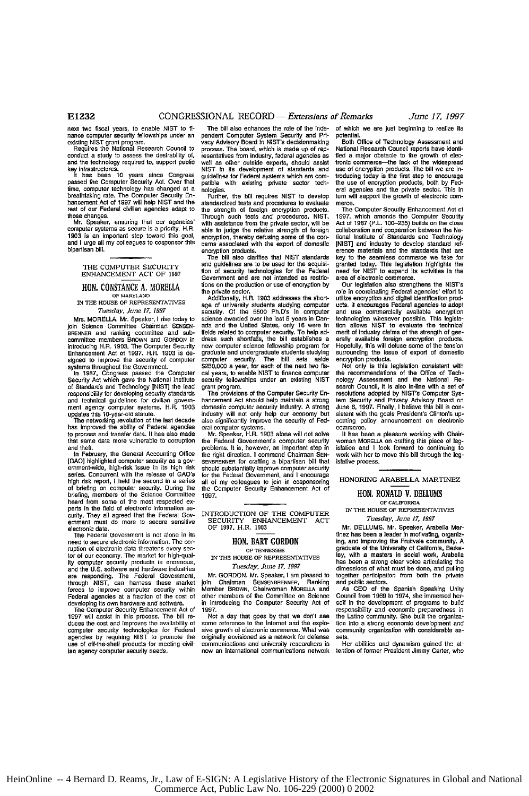next two fiscal years, to enable **NIST** to **finance** computer security fellowships under an existing **NIST** grant program. Requires the National Research Council to

conduct a study to assess the desirability **of,** and the technology required to, support **public**

key infrastructures.<br>It has been 10 years since Congress<br>passed the Computer Security Act. Over that<br>time, computer technology has changed at a breathtaking rate. The Computer Security En-hancement Act **of 1997** will help **NIST** and the rest of our Federal civilian agencies adapt to

these changes. Mr. Speaker, ensuring that our agencies' computer systems as secure is *a* priority. H.R. **1903** is an important step toward this goal, and **I** urge all my colleagues to cosponsor this bipartisan bill.

<u>The Computer Security</u> **ENHANCEMENT ACT OF 1997**

### **HON. CONSTANCE A. MORELLA**

IN **THE HOUSE** OF REPRESENTATIVES *Tuesday June 17, 1997*

Mrs. MORELLA. Mr. Speaker, **I** rise today to join Science Committee Chairman SENSEN-BRENNER and ranking committee and subcommittee members **BROWN** and GORDON in introducing H.R. **1903,** The Computer Security Enhancement Act of **1997.** H.R. **1903** is designed to improve the security of computer

systems throughout the Government.<br>In 1987, Congress passed the Computer<br>Security Act which gave the National Institute of Standards and Technology **JNISTj** the lead responsibility **for** developing security standards and technical guidelines **for** civilian government agency computer **systems.** H.R. **1903** updates this i0-year-old statute.

The networking revolution of the last decade has Improved the ability **of** Federal agencies to process and transfer **data.** It **has** also made that same data more vulnerable to **corruption** and **theft.**

**In** February, the General Accounting **Office JOAO)** highlighted computer security as a **guv-**emment-wide, high-risk issue in its **high** risk series. Concurrent with the release of GAO's **high** risk report, **I** held the second in **a** series **of** briefing on computer security. During the briefing, members of the Science Commitee heard from some of the most respected *ex*perts In the field of electronic information **se**curity. They all agreed that the Federal Govemmenl must do more to secure sensitive

electronic data. The Federal Government is not alone in its *need* to secure electronic information. The **cor**ruption of electronic data threatens every sec**tor** of our economy. The market for high-qual**iy** computer security products is enormous, and the U.S. software and hardware industries<br>are responding. The Federal Government,<br>through NIST, can harness these market<br>forces to improve computer security within Federal agencies at a fraction of the cost of

developing its **own** hardware and software. The Computer Security Enhancement Act of **1997** will assist in this process. The bill re-duces the cost **and** improves the availabiliy **of** computer security technologies for Federal agencies by requiring **NIST to** promote the **use** of off-the-shelt products for meeting civillan agency computer security needs.

The bill also enhances the **role of** the independent Computer **System** Security and Prvacy Advisory Board in NIST'a decisionmaking process. **The** beard, **which** is made **up** of representatives from industry, federal agencies **as** well as other **outside** experts, should asist NIST in its development of standards and<br>guidelines for Federal systems which are compatible with existing private sector technologies.

Further, **the bill** requires **N]ST** to develop standardized **tests** and procedures to evaluate the strength **of** foreign encryption products. Through such tests and procedures, **NIST,** with **assistance** from the private sector, will be able to judge the relative strength **of** foreign encryption, thereby defusing some of the conceams associated with the **export of** domestic encryption products. The bill also clarifies that **N[ST** standards

and quidelines are to be used for the acquisi**tion of security** technologies **for** the Federal Government and are not intended as restric**tions on** the production **or** use of encryption **by** the private sector. Additionally, H.R. **1903** addresses the short-

age of university students studying **computer** security. **Of** the **5500** Ph.D's in computer science awarded over the last **5** years in Can*ada* and the United States, only **16** were in fields related to computer security. To help address such shortfalls, the bill establishes a new computer science fellowship program for graduate **and** undergraduate students studying computer security. The bill sets aside **\$250,000** a year, **for** each of the next **two** fiscal years, to enable **NIST** to finance computer security fellowships **under** an existing **NIST** grant program.

The provisions of the Computer Security Enhancement Act should help maintain a strong domestic computer security industry. **A** strong industry will **not** only help **our** economy **but** also significantly improve the security of Federal computer systems.

Mr. Speaker, H.R. **1903** alone will not solve the Federal Government's computer security problems. **It** is, however, **an** important step **in** the *right* direction. I commend Chairman **SEN-**SENBRENNER for crafting a bipartisan bill that should substantially improve computer security for the Federal *Government,* and I encourage all of my colleagues to join in cosponsoing the Computer Security Enhancement Act of **1997.**

INTRODUCTION OF THE COMPUTER SECURITY **ENHANCEMENT ACT** OF **1997.** H.R. **1903**

### **HON. BART GORDON**<br>OF TENNESSEE

IN **THE HOUSE** OF REPRESENTATIVES *Tuesday, June 17, 1997*

Mr. GORDON. Mr. Speaker, **I** am pleased to **join Chairman SENSENBRENNER, Ranking<br>Member BROWN, Chairwoman MORELLA and** other members of the Committee on Science in introducing the Computer Security Act of

**1997.** Not a day that goes by that we don't see some reference to the Internet and the explosive growth of electronic commerce. What was originally envisioned as a network for defense communications and university researchers is now an international communications network of which we are just beginning to realize **its** potential.

Both Office of Technology Assessment and National Research Council reports have id fied a major obstacle **to the** growth of elec-tronic commerce-the lank of the widespread **use of** encryption products. The bill **we** are introducing today is the first **step** to encourage the use of encryption products, both by Fed-eral agencies and the private sector. This In tum will support the growth of electronic commerce.

The Computer Security Enhancement **Act** of **1997,** which amends the Computer Security Act of **1987** (P.L. **100-235)** builds **on** the close collaboration and cooperation between the Na-tional Institute of Standards and Technology [NIST] and industry to develop standard reference materials and the standards that are **key** to the seamless commerce **we** take for granted today. This legislafion highlights **the** need for **NIST** to expand its activities in the area of electronic commerce.

Our legislation **also** strengthens the N[ST's role in coordinating Federal agencies' **effort** to utilize encryption and digital identification prod**ucts.** It encourages Federal agencies to adopt and *use* commemially available encryption technologies whenever possible. This legislation allows NIST to evaluate the technical<br>merit of industry claims of the strength of gen-<br>erally available foreign encryption products.<br>Hopefully, this will defuse some of the tension surrounding the issue of export of domestic encryption products.

Not only is this legislation consistent with the recommendations of the Office **of** Tech-nology Assessment and the National Re-search Council, it **is als** in-fline *With* a **set** of resolutions adopted by NIST's Computer System Security **and** Privacy Advisory Board on June **6, 1997.** Finally, I believe this bill is con-sistent with the goals President's Clinton's **up**coming policy announcement on electronic commerce.

If has been a pleasure working with Chairwoman MORLLA **on** crafting this piece of leg-islation **and** I look forward to continuing to work with her to move this bill through *the* legislative process.

**HONORING** ARABELLA MARTINEZ

### **BON.** RONALD **V. DELLUMS OF CALIFORNIA**

**IN THE HOUSE** OF REPRESENTATIVES *Tuesday, June 17, 1997*

Mr. DELLUMS. Mr. Speaker, Arabella Mar-<br>tinez has been a leader in motivating, organizing, and Improving the **Fruitvale** community. A graduate **of** the University of California, Berke-**ley,** with a masters in social **work, Arabella** has *been* a strong clear **voice** articulating the dimensions of what must be **done,** and pulling together participation from beth the private and public sectors.

**As CEO** of the Spanish Speaking Unity Council from 1969 to 1974, she immersed her-<br>self in the development of programs to build rsponsibiity **and** economic preparedness in the Lattno community. She bilt the organize-flon into a strong economic development and community organization with considerable assets.

Her abilities and dynamism gained **the** at-tention of former President Jimmy Carter, who

HeinOnline -- 4 Bernard D. Reams, Jr., Law of E-SIGN: A Legislative History of the Electronic Signatures in Global and National Commerce Act, Public Law No. 106-229 (2000) 0 2002